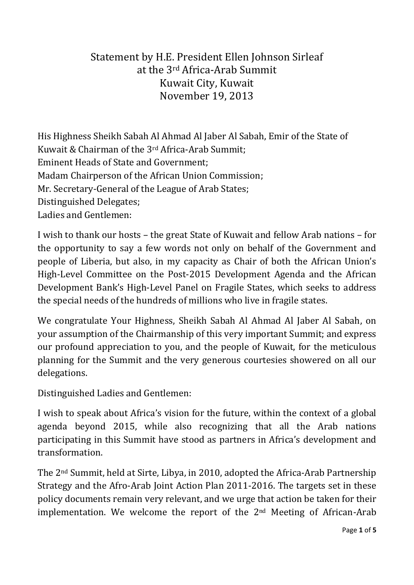## Statement by H.E. President Ellen Johnson Sirleaf at the 3rd Africa-Arab Summit Kuwait City, Kuwait November 19, 2013

His Highness Sheikh Sabah Al Ahmad Al Jaber Al Sabah, Emir of the State of Kuwait & Chairman of the 3rd Africa-Arab Summit; Eminent Heads of State and Government; Madam Chairperson of the African Union Commission; Mr. Secretary-General of the League of Arab States; Distinguished Delegates; Ladies and Gentlemen:

I wish to thank our hosts – the great State of Kuwait and fellow Arab nations – for the opportunity to say a few words not only on behalf of the Government and people of Liberia, but also, in my capacity as Chair of both the African Union's High-Level Committee on the Post-2015 Development Agenda and the African Development Bank's High-Level Panel on Fragile States, which seeks to address the special needs of the hundreds of millions who live in fragile states.

We congratulate Your Highness, Sheikh Sabah Al Ahmad Al Jaber Al Sabah, on your assumption of the Chairmanship of this very important Summit; and express our profound appreciation to you, and the people of Kuwait, for the meticulous planning for the Summit and the very generous courtesies showered on all our delegations.

Distinguished Ladies and Gentlemen:

I wish to speak about Africa's vision for the future, within the context of a global agenda beyond 2015, while also recognizing that all the Arab nations participating in this Summit have stood as partners in Africa's development and transformation.

The 2nd Summit, held at Sirte, Libya, in 2010, adopted the Africa-Arab Partnership Strategy and the Afro-Arab Joint Action Plan 2011-2016. The targets set in these policy documents remain very relevant, and we urge that action be taken for their implementation. We welcome the report of the 2nd Meeting of African-Arab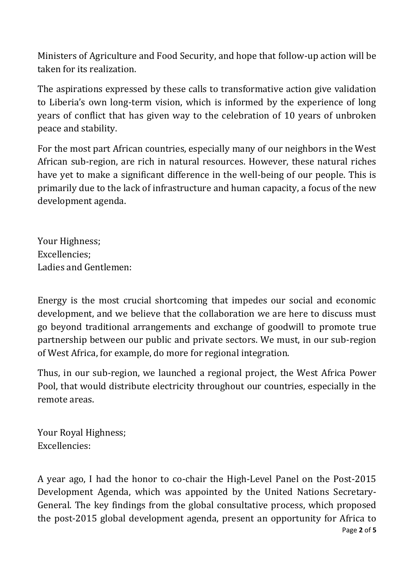Ministers of Agriculture and Food Security, and hope that follow-up action will be taken for its realization.

The aspirations expressed by these calls to transformative action give validation to Liberia's own long-term vision, which is informed by the experience of long years of conflict that has given way to the celebration of 10 years of unbroken peace and stability.

For the most part African countries, especially many of our neighbors in the West African sub-region, are rich in natural resources. However, these natural riches have yet to make a significant difference in the well-being of our people. This is primarily due to the lack of infrastructure and human capacity, a focus of the new development agenda.

Your Highness; Excellencies; Ladies and Gentlemen:

Energy is the most crucial shortcoming that impedes our social and economic development, and we believe that the collaboration we are here to discuss must go beyond traditional arrangements and exchange of goodwill to promote true partnership between our public and private sectors. We must, in our sub-region of West Africa, for example, do more for regional integration.

Thus, in our sub-region, we launched a regional project, the West Africa Power Pool, that would distribute electricity throughout our countries, especially in the remote areas.

Your Royal Highness; Excellencies:

Page **2** of **5** A year ago, I had the honor to co-chair the High-Level Panel on the Post-2015 Development Agenda, which was appointed by the United Nations Secretary-General. The key findings from the global consultative process, which proposed the post-2015 global development agenda, present an opportunity for Africa to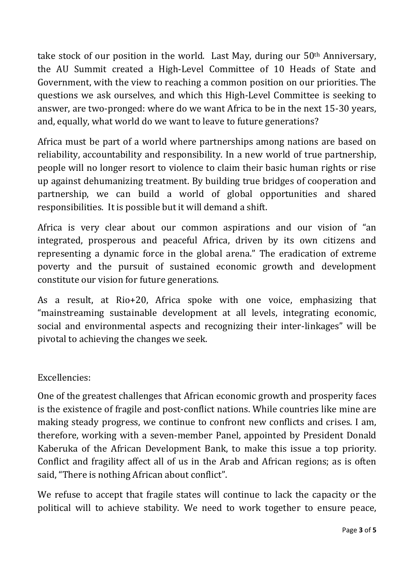take stock of our position in the world. Last May, during our  $50<sup>th</sup>$  Anniversary, the AU Summit created a High-Level Committee of 10 Heads of State and Government, with the view to reaching a common position on our priorities. The questions we ask ourselves, and which this High-Level Committee is seeking to answer, are two-pronged: where do we want Africa to be in the next 15-30 years, and, equally, what world do we want to leave to future generations?

Africa must be part of a world where partnerships among nations are based on reliability, accountability and responsibility. In a new world of true partnership, people will no longer resort to violence to claim their basic human rights or rise up against dehumanizing treatment. By building true bridges of cooperation and partnership, we can build a world of global opportunities and shared responsibilities. It is possible but it will demand a shift.

Africa is very clear about our common aspirations and our vision of "an integrated, prosperous and peaceful Africa, driven by its own citizens and representing a dynamic force in the global arena." The eradication of extreme poverty and the pursuit of sustained economic growth and development constitute our vision for future generations.

As a result, at Rio+20, Africa spoke with one voice, emphasizing that "mainstreaming sustainable development at all levels, integrating economic, social and environmental aspects and recognizing their inter-linkages" will be pivotal to achieving the changes we seek.

## Excellencies:

One of the greatest challenges that African economic growth and prosperity faces is the existence of fragile and post-conflict nations. While countries like mine are making steady progress, we continue to confront new conflicts and crises. I am, therefore, working with a seven-member Panel, appointed by President Donald Kaberuka of the African Development Bank, to make this issue a top priority. Conflict and fragility affect all of us in the Arab and African regions; as is often said, "There is nothing African about conflict".

We refuse to accept that fragile states will continue to lack the capacity or the political will to achieve stability. We need to work together to ensure peace,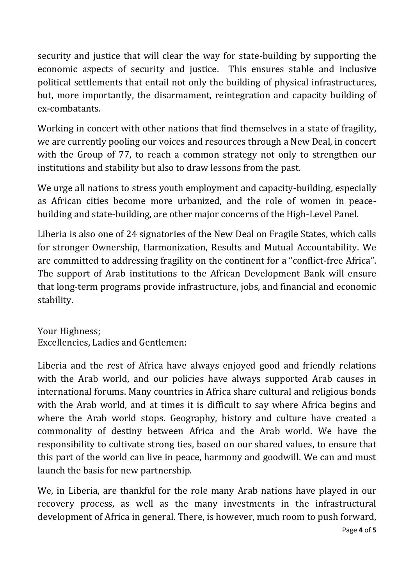security and justice that will clear the way for state-building by supporting the economic aspects of security and justice. This ensures stable and inclusive political settlements that entail not only the building of physical infrastructures, but, more importantly, the disarmament, reintegration and capacity building of ex-combatants.

Working in concert with other nations that find themselves in a state of fragility, we are currently pooling our voices and resources through a New Deal, in concert with the Group of 77, to reach a common strategy not only to strengthen our institutions and stability but also to draw lessons from the past.

We urge all nations to stress youth employment and capacity-building, especially as African cities become more urbanized, and the role of women in peacebuilding and state-building, are other major concerns of the High-Level Panel.

Liberia is also one of 24 signatories of the New Deal on Fragile States, which calls for stronger Ownership, Harmonization, Results and Mutual Accountability. We are committed to addressing fragility on the continent for a "conflict-free Africa". The support of Arab institutions to the African Development Bank will ensure that long-term programs provide infrastructure, jobs, and financial and economic stability.

Your Highness; Excellencies, Ladies and Gentlemen:

Liberia and the rest of Africa have always enjoyed good and friendly relations with the Arab world, and our policies have always supported Arab causes in international forums. Many countries in Africa share cultural and religious bonds with the Arab world, and at times it is difficult to say where Africa begins and where the Arab world stops. Geography, history and culture have created a commonality of destiny between Africa and the Arab world. We have the responsibility to cultivate strong ties, based on our shared values, to ensure that this part of the world can live in peace, harmony and goodwill. We can and must launch the basis for new partnership.

We, in Liberia, are thankful for the role many Arab nations have played in our recovery process, as well as the many investments in the infrastructural development of Africa in general. There, is however, much room to push forward,